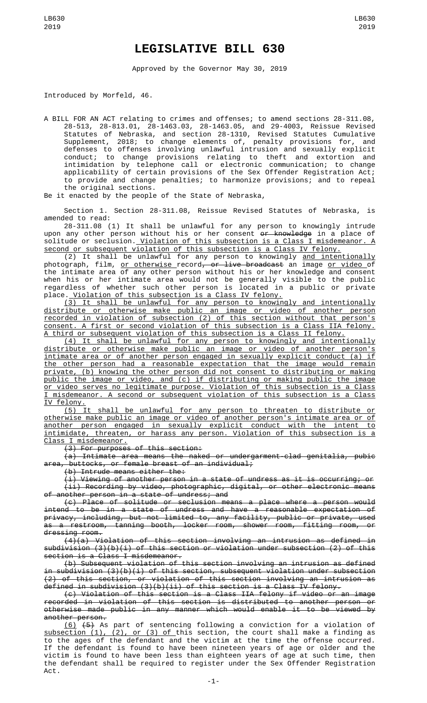## **LEGISLATIVE BILL 630**

Approved by the Governor May 30, 2019

Introduced by Morfeld, 46.

A BILL FOR AN ACT relating to crimes and offenses; to amend sections 28-311.08, 28-513, 28-813.01, 28-1463.03, 28-1463.05, and 29-4003, Reissue Revised Statutes of Nebraska, and section 28-1310, Revised Statutes Cumulative Supplement, 2018; to change elements of, penalty provisions for, and defenses to offenses involving unlawful intrusion and sexually explicit conduct; to change provisions relating to theft and extortion and intimidation by telephone call or electronic communication; to change applicability of certain provisions of the Sex Offender Registration Act; to provide and change penalties; to harmonize provisions; and to repeal the original sections.

Be it enacted by the people of the State of Nebraska,

Section 1. Section 28-311.08, Reissue Revised Statutes of Nebraska, is amended to read:

28-311.08 (1) It shall be unlawful for any person to knowingly intrude upon any other person without his or her consent <del>or knowledge</del> in a place of solitude or seclusion.<u> Violation of this subsection is a Class I misdemeanor. A</u> second or subsequent violation of this subsection is a Class IV felony.

(2) It shall be unlawful for any person to knowingly and intentionally photograph, film, <u>or otherwise </u>record<del>, or live broadcast</del> an image <u>or video </u>of the intimate area of any other person without his or her knowledge and consent when his or her intimate area would not be generally visible to the public regardless of whether such other person is located in a public or private place. Violation of this subsection is a Class IV felony.

(3) It shall be unlawful for any person to knowingly and intentionally distribute or otherwise make public an image or video of another person recorded in violation of subsection (2) of this section without that person's consent. A first or second violation of this subsection is a Class IIA felony. A third or subsequent violation of this subsection is a Class II felony.

(4) It shall be unlawful for any person to knowingly and intentionally distribute or otherwise make public an image or video of another person's intimate area or of another person engaged in sexually explicit conduct (a) if the other person had a reasonable expectation that the image would remain private, (b) knowing the other person did not consent to distributing or making public the image or video, and (c) if distributing or making public the image or video serves no legitimate purpose. Violation of this subsection is a Class I misdemeanor. A second or subsequent violation of this subsection is a Class <u>IV felony.</u><br>(5) It

shall be unlawful for any person to threaten to distribute or otherwise make public an image or video of another person's intimate area or of another person engaged in sexually explicit conduct with the intent to intimidate, threaten, or harass any person. Violation of this subsection is a Class I misdemeanor.

(3) For purposes of this section:

(a) Intimate area means the naked or undergarment-clad genitalia, pubic area, buttocks, or female breast of an individual;

(b) Intrude means either the:

(i) Viewing of another person in a state of undress as it is occurring; or (ii) Recording by video, photographic, digital, or other electronic means of another person in a state of undress; and

(c) Place of solitude or seclusion means a place where a person would intend to be in a state of undress and have a reasonable expectation of privacy, including, but not limited to, any facility, public or private, used as a restroom, tanning booth, locker room, shower room, fitting room, or dressing room.

(4)(a) Violation of this section involving an intrusion as defined in subdivision  $(3)(b)(i)$  of this section or violation under subsection  $(2)$  of this section is a Class I misdemeanor.

(b) Subsequent violation of this section involving an intrusion as defined in subdivision (3)(b)(i) of this section, subsequent violation under subsection (2) of this section, or violation of this section involving an intrusion as defined in subdivision (3)(b)(ii) of this section is a Class IV felony.

(c) Violation of this section is a Class IIA felony if video or an image recorded in violation of this section is distributed to another person or otherwise made public in any manner which would enable it to be viewed by another person.

(6) (5) As part of sentencing following a conviction for a violation of subsection (1), (2), or (3) of this section, the court shall make a finding as to the ages of the defendant and the victim at the time the offense occurred. If the defendant is found to have been nineteen years of age or older and the victim is found to have been less than eighteen years of age at such time, then the defendant shall be required to register under the Sex Offender Registration Act.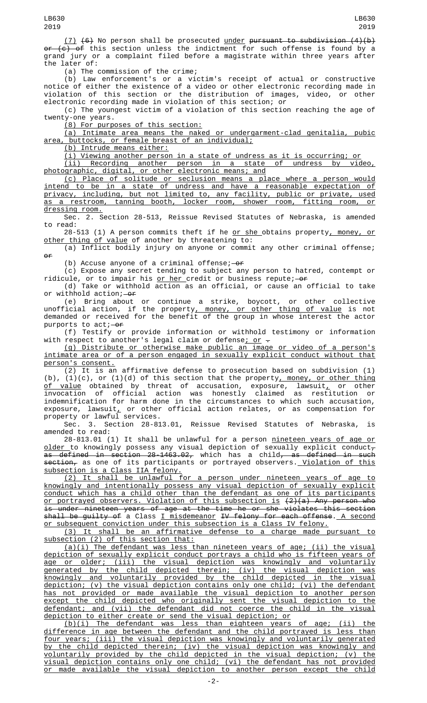$(7)$   $(6)$  No person shall be prosecuted <u>under</u> pursuant to subdivision  $(4)(b)$  $or$   $(c)$  of this section unless the indictment for such offense is found by a grand jury or a complaint filed before a magistrate within three years after the later of:

(a) The commission of the crime;

(b) Law enforcement's or a victim's receipt of actual or constructive notice of either the existence of a video or other electronic recording made in violation of this section or the distribution of images, video, or other electronic recording made in violation of this section; or

(c) The youngest victim of a violation of this section reaching the age of twenty-one years.

(8) For purposes of this section:

(a) Intimate area means the naked or undergarment-clad genitalia, pubic area, buttocks, or female breast of an individual;

(b) Intrude means either:

(i) Viewing another person in a state of undress as it is occurring; or

(ii) Recording another person in a state of undress by video, photographic, digital, or other electronic means; and

(c) Place of solitude or seclusion means a place where a person would intend to be in a state of undress and have a reasonable expectation of privacy, including, but not limited to, any facility, public or private, used as a restroom, tanning booth, locker room, shower room, fitting room, or dressing room.

Sec. 2. Section 28-513, Reissue Revised Statutes of Nebraska, is amended read:

28-513 (1) A person commits theft if he or she obtains property, money, or <u>other thing of value</u> of another by threatening to:

(a) Inflict bodily injury on anyone or commit any other criminal offense;  $\theta$ 

(b) Accuse anyone of a criminal offense; $-$ or

(c) Expose any secret tending to subject any person to hatred, contempt or ridicule, or to impair his <u>or her </u>credit or business repute;—<del>or</del>

(d) Take or withhold action as an official, or cause an official to take or withhold  $\arctan(-\theta)$ 

(e) Bring about or continue a strike, boycott, or other collective unofficial action, if the property<u>, money, or other thing of value</u> is not demanded or received for the benefit of the group in whose interest the actor purports to act;—<del>or</del>

(f) Testify or provide information or withhold testimony or information with respect to another's legal claim or defense<u>; or</u> -

(g) Distribute or otherwise make public an image or video of a person's intimate area or of a person engaged in sexually explicit conduct without that person's consent.

(2) It is an affirmative defense to prosecution based on subdivision (1) (b),  $(1)(c)$ , or  $(1)(d)$  of this section that the property<u>, money, or other thing</u> <u>of value</u> obtained by threat of accusation, exposure, lawsuit<u>,</u> or other invocation of official action was honestly claimed as restitution or indemnification for harm done in the circumstances to which such accusation, exposure, lawsuit<u>,</u> or other official action relates, or as compensation for property or lawful services.

Sec. 3. Section 28-813.01, Reissue Revised Statutes of Nebraska, is amended to read:

28-813.01 (1) It shall be unlawful for a person nineteen years of age or <u>older t</u>o knowingly possess any visual depiction of sexually explicit conduct $_{\mathcal{T}}$ as defined in section 28-1463.02<del>,</del> which has a child<del>, as defined in such</del> <del>section,</del> as one of its participants or portrayed observers.<u> Violation of this</u> subsection is a Class IIA felony.

(2) It shall be unlawful for a person under nineteen years of age to knowingly and intentionally possess any visual depiction of sexually explicit conduct which has a child other than the defendant as one of its participants or portrayed observers. Violation of this subsection is (2)(a) Any person who is under nineteen years of age at the time he or she violates this section shall be guilty of a Class <u>I misdemeanor</u> <del>IV felony for each offense</del>. <u>A second</u> or subsequent conviction under this subsection is a Class IV felony.

(3) It shall be an affirmative defense to a charge made pursuant to subsection (2) of this section that:

 $(a)(i)$  The defendant was less than nineteen years of age; (ii) the visual depiction of sexually explicit conduct portrays a child who is fifteen years of age or older; (iii) the visual depiction was knowingly and voluntarily generated by the child depicted therein; (iv) the visual depiction was knowingly and voluntarily provided by the child depicted in the visual depiction; (v) the visual depiction contains only one child; (vi) the defendant has not provided or made available the visual depiction to another person except the child depicted who originally sent the visual depiction to the defendant; and (vii) the defendant did not coerce the child in the visual depiction to either create or send the visual depiction; or

(b)(i) The defendant was less than eighteen years of age; (ii) the difference in age between the defendant and the child portrayed is less than four years; (iii) the visual depiction was knowingly and voluntarily generated by the child depicted therein; (iv) the visual depiction was knowingly and voluntarily provided by the child depicted in the visual depiction; (v) the visual depiction contains only one child; (vi) the defendant has not provided made available the visual depiction to another person except the child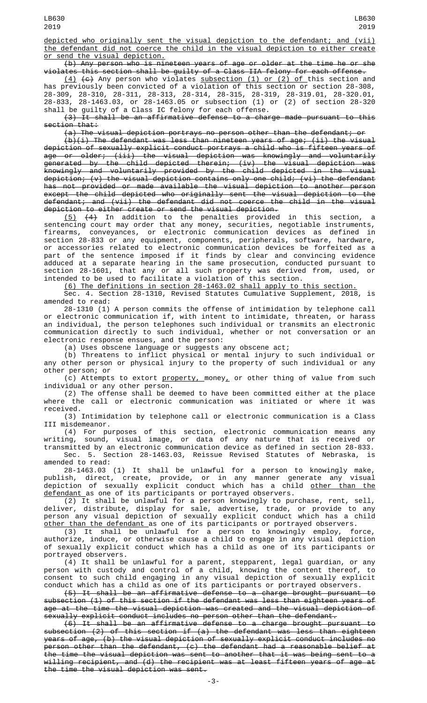depicted who originally sent the visual depiction to the defendant; and (vii) the defendant did not coerce the child in the visual depiction to either create or send the visual depiction.

(b) Any person who is nineteen years of age or older at the time he or she violates this section shall be guilty of a Class IIA felony for each offense.

(<u>4)</u> <del>(c)</del> Any person who violates <u>subsection (1) or (2) of t</u>his section and has previously been convicted of a violation of this section or section 28-308, 28-309, 28-310, 28-311, 28-313, 28-314, 28-315, 28-319, 28-319.01, 28-320.01, 28-833, 28-1463.03, or 28-1463.05 or subsection (1) or (2) of section 28-320 shall be guilty of a Class IC felony for each offense.

(3) It shall be an affirmative defense to a charge made pursuant to this section that:

(a) The visual depiction portrays no person other than the defendant; or

 $(b)(i)$  The defendant was less than nineteen years of age; (ii) the visual depiction of sexually explicit conduct portrays a child who is fifteen years of age or older; (iii) the visual depiction was knowingly and voluntarily generated by the child depicted therein; (iv) the visual depiction was knowingly and voluntarily provided by the child depicted in the visual depiction; (v) the visual depiction contains only one child; (vi) the defendant has not provided or made available the visual depiction to another person except the child depicted who originally sent the visual depiction to the defendant; and (vii) the defendant did not coerce the child in the visual depiction to either create or send the visual depiction.

(5) (4) In addition to the penalties provided in this section, a sentencing court may order that any money, securities, negotiable instruments, firearms, conveyances, or electronic communication devices as defined in section 28-833 or any equipment, components, peripherals, software, hardware, or accessories related to electronic communication devices be forfeited as a part of the sentence imposed if it finds by clear and convincing evidence adduced at a separate hearing in the same prosecution, conducted pursuant to section 28-1601, that any or all such property was derived from, used, or intended to be used to facilitate a violation of this section.

(6) The definitions in section 28-1463.02 shall apply to this section.

Sec. 4. Section 28-1310, Revised Statutes Cumulative Supplement, 2018, is amended to read:

28-1310 (1) A person commits the offense of intimidation by telephone call or electronic communication if, with intent to intimidate, threaten, or harass an individual, the person telephones such individual or transmits an electronic communication directly to such individual, whether or not conversation or an electronic response ensues, and the person:

(a) Uses obscene language or suggests any obscene act;

(b) Threatens to inflict physical or mental injury to such individual or any other person or physical injury to the property of such individual or any other person; or

(c) Attempts to extort  $property,$  money, or other thing of value from such individual or any other person.

(2) The offense shall be deemed to have been committed either at the place where the call or electronic communication was initiated or where it was received.

(3) Intimidation by telephone call or electronic communication is a Class III misdemeanor.

(4) For purposes of this section, electronic communication means any writing, sound, visual image, or data of any nature that is received or transmitted by an electronic communication device as defined in section 28-833.

Sec. 5. Section 28-1463.03, Reissue Revised Statutes of Nebraska, is amended to read:

28-1463.03 (1) It shall be unlawful for a person to knowingly make, publish, direct, create, provide, or in any manner generate any visual depiction of sexually explicit conduct which has a child <u>other than the</u> <u>defendant a</u>s one of its participants or portrayed observers.

(2) It shall be unlawful for a person knowingly to purchase, rent, sell, deliver, distribute, display for sale, advertise, trade, or provide to any person any visual depiction of sexually explicit conduct which has a child other than the defendant as one of its participants or portrayed observers.

(3) It shall be unlawful for a person to knowingly employ, force, authorize, induce, or otherwise cause a child to engage in any visual depiction of sexually explicit conduct which has a child as one of its participants or portrayed observers.

(4) It shall be unlawful for a parent, stepparent, legal guardian, or any person with custody and control of a child, knowing the content thereof, to consent to such child engaging in any visual depiction of sexually explicit conduct which has a child as one of its participants or portrayed observers.

(5) It shall be an affirmative defense to a charge brought pursuant to subsection (1) of this section if the defendant was less than eighteen years of age at the time the visual depiction was created and the visual depiction of sexually explicit conduct includes no person other than the defendant.

(6) It shall be an affirmative defense to a charge brought pursuant to subsection (2) of this section if (a) the defendant was less than eighteen years of age, (b) the visual depiction of sexually explicit conduct includes no person other than the defendant, (c) the defendant had a reasonable belief at the time the visual depiction was sent to another that it was being sent to a willing recipient, and (d) the recipient was at least fifteen years of age at the time the visual depiction was sent.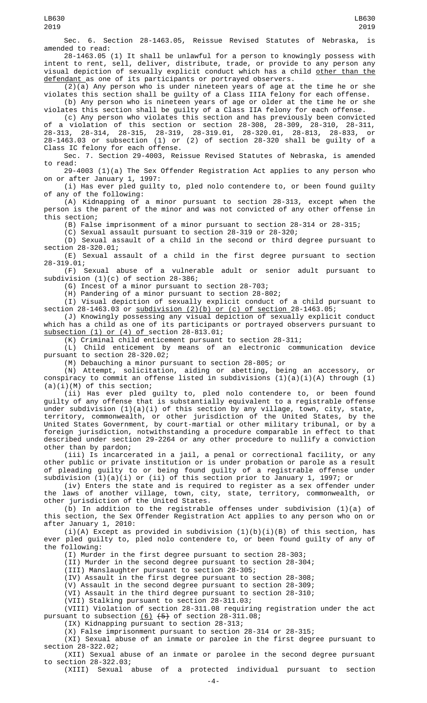Sec. 6. Section 28-1463.05, Reissue Revised Statutes of Nebraska, is amended to read:

28-1463.05 (1) It shall be unlawful for a person to knowingly possess with intent to rent, sell, deliver, distribute, trade, or provide to any person any visual depiction of sexually explicit conduct which has a child <u>other than the</u> <u>defendant a</u>s one of its participants or portrayed observers.

(2)(a) Any person who is under nineteen years of age at the time he or she violates this section shall be guilty of a Class IIIA felony for each offense.

(b) Any person who is nineteen years of age or older at the time he or she violates this section shall be guilty of a Class IIA felony for each offense.

(c) Any person who violates this section and has previously been convicted of a violation of this section or section 28-308, 28-309, 28-310, 28-311, 28-313, 28-314, 28-315, 28-319, 28-319.01, 28-320.01, 28-813, 28-833, or 28-1463.03 or subsection (1) or (2) of section 28-320 shall be guilty of a Class IC felony for each offense.

Sec. 7. Section 29-4003, Reissue Revised Statutes of Nebraska, is amended to read:

29-4003 (1)(a) The Sex Offender Registration Act applies to any person who on or after January 1, 1997:

(i) Has ever pled guilty to, pled nolo contendere to, or been found guilty of any of the following:

(A) Kidnapping of a minor pursuant to section 28-313, except when the person is the parent of the minor and was not convicted of any other offense in this section;

(B) False imprisonment of a minor pursuant to section 28-314 or 28-315;

(C) Sexual assault pursuant to section 28-319 or 28-320; (D) Sexual assault of a child in the second or third degree pursuant to section 28-320.01;

(E) Sexual assault of a child in the first degree pursuant to section 28-319.01;

(F) Sexual abuse of a vulnerable adult or senior adult pursuant to subdivision (1)(c) of section 28-386;

(G) Incest of a minor pursuant to section 28-703;

(H) Pandering of a minor pursuant to section 28-802;

(I) Visual depiction of sexually explicit conduct of a child pursuant to section 28-1463.03 or subdivision (2)(b) or (c) of section 28-1463.05;

(J) Knowingly possessing any visual depiction of sexually explicit conduct which has a child as one of its participants or portrayed observers pursuant to subsection (1) or (4) of section 28-813.01;

(K) Criminal child enticement pursuant to section 28-311;

(L) Child enticement by means of an electronic communication device pursuant to section 28-320.02;

(M) Debauching a minor pursuant to section 28-805; or

(N) Attempt, solicitation, aiding or abetting, being an accessory, or conspiracy to commit an offense listed in subdivisions  $(1)(a)(i)(A)$  through  $(1)$  $(a)(i)(M)$  of this section;

(ii) Has ever pled guilty to, pled nolo contendere to, or been found guilty of any offense that is substantially equivalent to a registrable offense under subdivision (1)(a)(i) of this section by any village, town, city, state, territory, commonwealth, or other jurisdiction of the United States, by the United States Government, by court-martial or other military tribunal, or by a foreign jurisdiction, notwithstanding a procedure comparable in effect to that described under section 29-2264 or any other procedure to nullify a conviction other than by pardon;

(iii) Is incarcerated in a jail, a penal or correctional facility, or any other public or private institution or is under probation or parole as a result of pleading guilty to or being found guilty of a registrable offense under subdivision (1)(a)(i) or (ii) of this section prior to January 1, 1997; or

(iv) Enters the state and is required to register as a sex offender under the laws of another village, town, city, state, territory, commonwealth, or other jurisdiction of the United States.

 $(b)$  In addition to the registrable offenses under subdivision  $(1)(a)$  of this section, the Sex Offender Registration Act applies to any person who on or after January 1, 2010:

(i)(A) Except as provided in subdivision  $(1)(b)(i)(B)$  of this section, has ever pled guilty to, pled nolo contendere to, or been found guilty of any of the following:

(I) Murder in the first degree pursuant to section 28-303;

(II) Murder in the second degree pursuant to section 28-304;

(III) Manslaughter pursuant to section 28-305;

(IV) Assault in the first degree pursuant to section 28-308; (V) Assault in the second degree pursuant to section 28-309;

 $(VI)$  Assault in the third degree pursuant to section 28-310;

(VII) Stalking pursuant to section 28-311.03;

(VIII) Violation of section 28-311.08 requiring registration under the act pursuant to subsection  $(6)$   $(5)$  of section 28-311.08;

(IX) Kidnapping pursuant to section 28-313;

(X) False imprisonment pursuant to section 28-314 or 28-315;

(XI) Sexual abuse of an inmate or parolee in the first degree pursuant to section 28-322.02;

(XII) Sexual abuse of an inmate or parolee in the second degree pursuant to section 28-322.03; (XIII) Sexual abuse of a protected individual pursuant to section